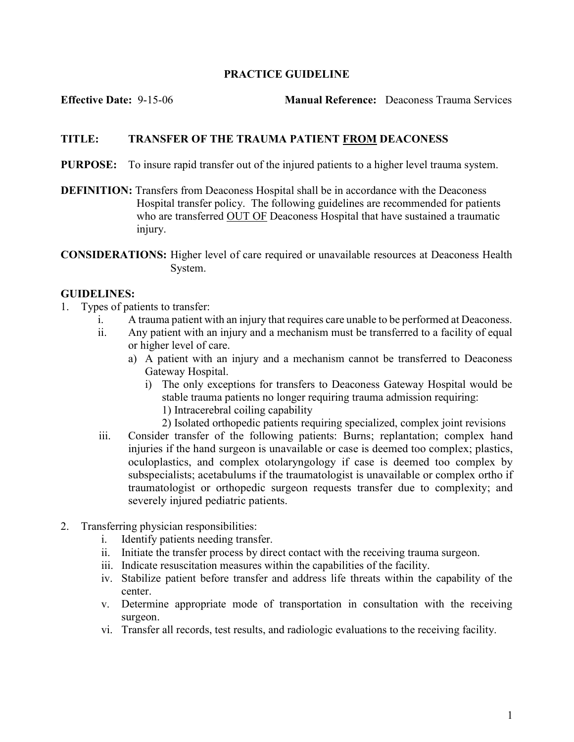## PRACTICE GUIDELINE

Effective Date: 9-15-06 Manual Reference: Deaconess Trauma Services

## TITLE: TRANSFER OF THE TRAUMA PATIENT FROM DEACONESS

- PURPOSE: To insure rapid transfer out of the injured patients to a higher level trauma system.
- DEFINITION: Transfers from Deaconess Hospital shall be in accordance with the Deaconess Hospital transfer policy. The following guidelines are recommended for patients who are transferred OUT OF Deaconess Hospital that have sustained a traumatic injury.
- CONSIDERATIONS: Higher level of care required or unavailable resources at Deaconess Health System.

## GUIDELINES:

- 1. Types of patients to transfer:
	- i. A trauma patient with an injury that requires care unable to be performed at Deaconess.
	- ii. Any patient with an injury and a mechanism must be transferred to a facility of equal or higher level of care.
		- a) A patient with an injury and a mechanism cannot be transferred to Deaconess Gateway Hospital.
			- i) The only exceptions for transfers to Deaconess Gateway Hospital would be stable trauma patients no longer requiring trauma admission requiring:
				- 1) Intracerebral coiling capability
				- 2) Isolated orthopedic patients requiring specialized, complex joint revisions
	- iii. Consider transfer of the following patients: Burns; replantation; complex hand injuries if the hand surgeon is unavailable or case is deemed too complex; plastics, oculoplastics, and complex otolaryngology if case is deemed too complex by subspecialists; acetabulums if the traumatologist is unavailable or complex ortho if traumatologist or orthopedic surgeon requests transfer due to complexity; and severely injured pediatric patients.
- 2. Transferring physician responsibilities:
	- i. Identify patients needing transfer.
	- ii. Initiate the transfer process by direct contact with the receiving trauma surgeon.
	- iii. Indicate resuscitation measures within the capabilities of the facility.
	- iv. Stabilize patient before transfer and address life threats within the capability of the center.
	- v. Determine appropriate mode of transportation in consultation with the receiving surgeon.
	- vi. Transfer all records, test results, and radiologic evaluations to the receiving facility.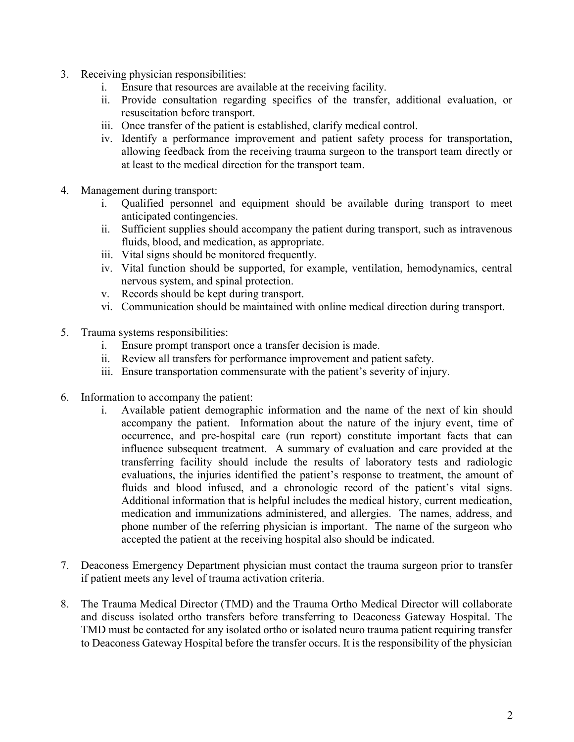- 3. Receiving physician responsibilities:
	- i. Ensure that resources are available at the receiving facility.
	- ii. Provide consultation regarding specifics of the transfer, additional evaluation, or resuscitation before transport.
	- iii. Once transfer of the patient is established, clarify medical control.
	- iv. Identify a performance improvement and patient safety process for transportation, allowing feedback from the receiving trauma surgeon to the transport team directly or at least to the medical direction for the transport team.
- 4. Management during transport:
	- i. Qualified personnel and equipment should be available during transport to meet anticipated contingencies.
	- ii. Sufficient supplies should accompany the patient during transport, such as intravenous fluids, blood, and medication, as appropriate.
	- iii. Vital signs should be monitored frequently.
	- iv. Vital function should be supported, for example, ventilation, hemodynamics, central nervous system, and spinal protection.
	- v. Records should be kept during transport.
	- vi. Communication should be maintained with online medical direction during transport.
- 5. Trauma systems responsibilities:
	- i. Ensure prompt transport once a transfer decision is made.
	- ii. Review all transfers for performance improvement and patient safety.
	- iii. Ensure transportation commensurate with the patient's severity of injury.
- 6. Information to accompany the patient:
	- i. Available patient demographic information and the name of the next of kin should accompany the patient. Information about the nature of the injury event, time of occurrence, and pre-hospital care (run report) constitute important facts that can influence subsequent treatment. A summary of evaluation and care provided at the transferring facility should include the results of laboratory tests and radiologic evaluations, the injuries identified the patient's response to treatment, the amount of fluids and blood infused, and a chronologic record of the patient's vital signs. Additional information that is helpful includes the medical history, current medication, medication and immunizations administered, and allergies. The names, address, and phone number of the referring physician is important. The name of the surgeon who accepted the patient at the receiving hospital also should be indicated.
- 7. Deaconess Emergency Department physician must contact the trauma surgeon prior to transfer if patient meets any level of trauma activation criteria.
- 8. The Trauma Medical Director (TMD) and the Trauma Ortho Medical Director will collaborate and discuss isolated ortho transfers before transferring to Deaconess Gateway Hospital. The TMD must be contacted for any isolated ortho or isolated neuro trauma patient requiring transfer to Deaconess Gateway Hospital before the transfer occurs. It is the responsibility of the physician